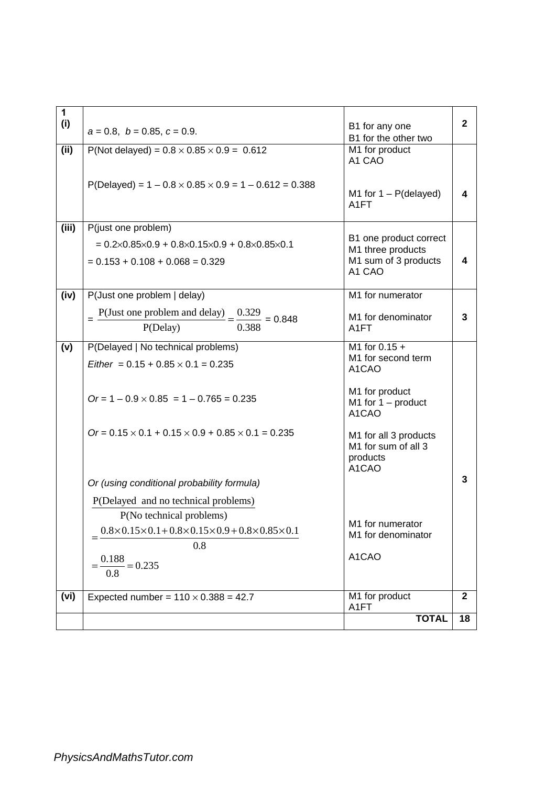| $\mathbf{1}$<br>(i) | $a = 0.8$ , $b = 0.85$ , $c = 0.9$ .                                                                                                                 | B1 for any one<br>B1 for the other two                                        | $\overline{2}$ |
|---------------------|------------------------------------------------------------------------------------------------------------------------------------------------------|-------------------------------------------------------------------------------|----------------|
| (ii)                | P(Not delayed) = $0.8 \times 0.85 \times 0.9 = 0.612$                                                                                                | $\overline{M}$ 1 for product<br>A1 CAO                                        |                |
|                     | $P(Delayed) = 1 - 0.8 \times 0.85 \times 0.9 = 1 - 0.612 = 0.388$                                                                                    | M1 for $1 - P$ (delayed)<br>A <sub>1</sub> FT                                 | 4              |
| (iii)               | P(just one problem)<br>$= 0.2 \times 0.85 \times 0.9 + 0.8 \times 0.15 \times 0.9 + 0.8 \times 0.85 \times 0.1$<br>$= 0.153 + 0.108 + 0.068 = 0.329$ | B1 one product correct<br>M1 three products<br>M1 sum of 3 products<br>A1 CAO | 4              |
| (iv)                | P(Just one problem   delay)<br>$P$ (Just one problem and delay) = $\frac{0.329}{P}$ = 0.848                                                          | M1 for numerator<br>M1 for denominator                                        | 3              |
|                     | $\frac{1}{0.388}$<br>P(Delay)                                                                                                                        | A <sub>1</sub> FT                                                             |                |
| (v)                 | P(Delayed   No technical problems)<br>Either = $0.15 + 0.85 \times 0.1 = 0.235$                                                                      | M1 for $0.15 +$<br>M1 for second term<br>A1CAO                                |                |
|                     | $Or = 1 - 0.9 \times 0.85 = 1 - 0.765 = 0.235$                                                                                                       | M1 for product<br>M1 for $1 -$ product<br>A1CAO                               |                |
|                     | $Or = 0.15 \times 0.1 + 0.15 \times 0.9 + 0.85 \times 0.1 = 0.235$                                                                                   | M1 for all 3 products<br>M1 for sum of all 3<br>products<br>A1CAO             |                |
|                     | Or (using conditional probability formula)                                                                                                           |                                                                               | 3              |
|                     | P(Delayed and no technical problems)                                                                                                                 |                                                                               |                |
|                     | P(No technical problems)<br>$0.8 \times 0.15 \times 0.1 + 0.8 \times 0.15 \times 0.9 + 0.8 \times 0.85 \times 0.1$<br>0.8                            | M1 for numerator<br>M1 for denominator                                        |                |
|                     | $=\frac{0.188}{0.8}=0.235$                                                                                                                           | A1CAO                                                                         |                |
| (vi)                | Expected number = $110 \times 0.388 = 42.7$                                                                                                          | M1 for product<br>A1FT                                                        | $\mathbf{2}$   |
|                     |                                                                                                                                                      | <b>TOTAL</b>                                                                  | 18             |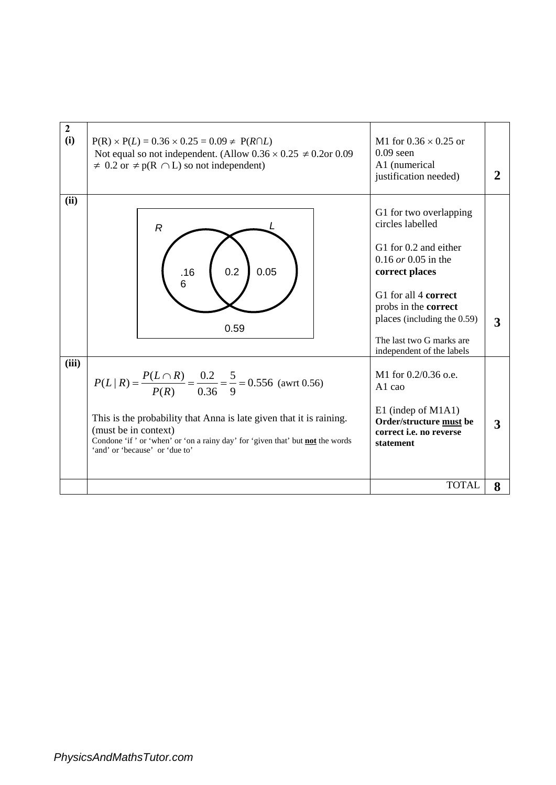| $\overline{2}$<br>(i) | $P(R) \times P(L) = 0.36 \times 0.25 = 0.09 \neq P(R \cap L)$<br>Not equal so not independent. (Allow $0.36 \times 0.25 \neq 0.2$ or 0.09<br>$\neq$ 0.2 or $\neq$ p(R $\cap$ L) so not independent)                                                                                                        | M1 for $0.36 \times 0.25$ or<br>$0.09$ seen<br>A1 (numerical<br>justification needed)                                                                                                                                                                  |   |
|-----------------------|------------------------------------------------------------------------------------------------------------------------------------------------------------------------------------------------------------------------------------------------------------------------------------------------------------|--------------------------------------------------------------------------------------------------------------------------------------------------------------------------------------------------------------------------------------------------------|---|
| (ii)                  | R<br>0.2<br>0.05<br>.16<br>6<br>0.59                                                                                                                                                                                                                                                                       | G1 for two overlapping<br>circles labelled<br>G1 for 0.2 and either<br>$0.16$ or 0.05 in the<br>correct places<br>G1 for all 4 correct<br>probs in the correct<br>places (including the 0.59)<br>The last two G marks are<br>independent of the labels | 3 |
| (iii)                 | $P(L R) = \frac{P(L \cap R)}{P(R)} = \frac{0.2}{0.36} = \frac{5}{9} = 0.556$ (awrt 0.56)<br>This is the probability that Anna is late given that it is raining.<br>(must be in context)<br>Condone 'if' or 'when' or 'on a rainy day' for 'given that' but not the words<br>'and' or 'because' or 'due to' | M1 for 0.2/0.36 o.e.<br>A <sub>1</sub> cao<br>E1 (indep of M1A1)<br>Order/structure must be<br>correct <i>i.e.</i> no reverse<br>statement                                                                                                             | 3 |
|                       |                                                                                                                                                                                                                                                                                                            | <b>TOTAL</b>                                                                                                                                                                                                                                           | 8 |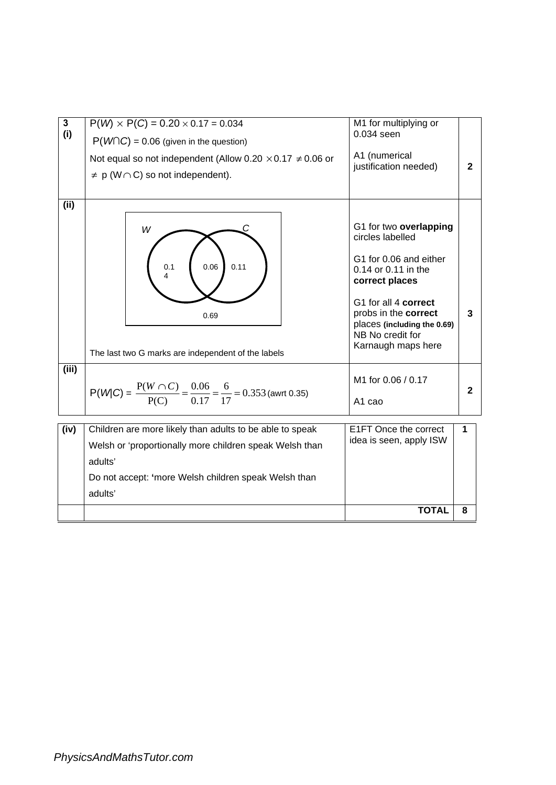| $\overline{3}$ | $P(W) \times P(C) = 0.20 \times 0.17 = 0.034$                                               | M1 for multiplying or                                                                                                                                                                                                                  |                |  |
|----------------|---------------------------------------------------------------------------------------------|----------------------------------------------------------------------------------------------------------------------------------------------------------------------------------------------------------------------------------------|----------------|--|
| (i)            | $P(W \cap C) = 0.06$ (given in the question)                                                | 0.034 seen                                                                                                                                                                                                                             |                |  |
|                | Not equal so not independent (Allow 0.20 $\times$ 0.17 $\neq$ 0.06 or                       | A1 (numerical                                                                                                                                                                                                                          |                |  |
|                | $\neq$ p (W $\cap$ C) so not independent).                                                  | justification needed)                                                                                                                                                                                                                  | $\overline{2}$ |  |
|                |                                                                                             |                                                                                                                                                                                                                                        |                |  |
| (ii)           |                                                                                             |                                                                                                                                                                                                                                        |                |  |
|                | W<br>0.06<br>0.11<br>0.1<br>4<br>0.69<br>The last two G marks are independent of the labels | G1 for two overlapping<br>circles labelled<br>G1 for 0.06 and either<br>0.14 or 0.11 in the<br>correct places<br>G1 for all 4 correct<br>probs in the correct<br>places (including the 0.69)<br>NB No credit for<br>Karnaugh maps here | 3              |  |
| (iii)          |                                                                                             |                                                                                                                                                                                                                                        |                |  |
|                |                                                                                             | M1 for 0.06 / 0.17                                                                                                                                                                                                                     |                |  |
|                | $P(W C) = {P(W \cap C) \over P(C)} = {0.06 \over 0.17} = {6 \over 17} = 0.353$ (awrt 0.35)  | A <sub>1</sub> cao                                                                                                                                                                                                                     | $\mathbf{2}$   |  |
|                |                                                                                             |                                                                                                                                                                                                                                        |                |  |
| (iv)           | Children are more likely than adults to be able to speak                                    | E1FT Once the correct                                                                                                                                                                                                                  | 1              |  |
|                | Welsh or 'proportionally more children speak Welsh than                                     | idea is seen, apply ISW                                                                                                                                                                                                                |                |  |
|                | adults'                                                                                     |                                                                                                                                                                                                                                        |                |  |
|                | Do not accept: 'more Welsh children speak Welsh than                                        |                                                                                                                                                                                                                                        |                |  |
|                | adults'                                                                                     |                                                                                                                                                                                                                                        |                |  |
|                |                                                                                             | <b>TOTAL</b>                                                                                                                                                                                                                           | 8              |  |
|                |                                                                                             |                                                                                                                                                                                                                                        |                |  |